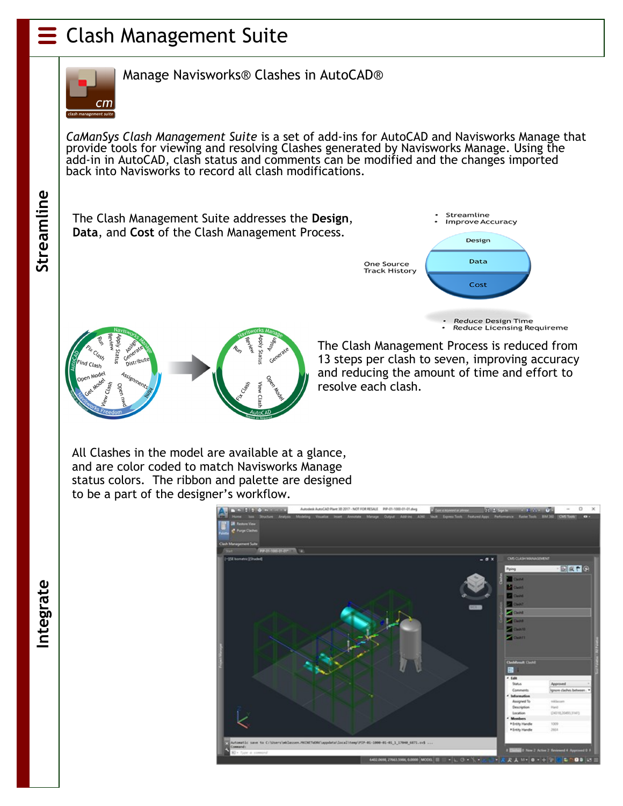## Clash Management Suite



Manage Navisworks® Clashes in AutoCAD®

*CaManSys Clash Management Suite* is a set of add-ins for AutoCAD and Navisworks Manage that provide tools for viewing and resolving Clashes generated by Navisworks Manage. Using the add-in in AutoCAD, clash status and comments can be modified and the changes imported back into Navisworks to record all clash modifications.

Streamline

The Clash Management Suite addresses the **Design**, **Data**, and **Cost** of the Clash Management Process.







The Clash Management Process is reduced from 13 steps per clash to seven, improving accuracy and reducing the amount of time and effort to resolve each clash.

All Clashes in the model are available at a glance, and are color coded to match Navisworks Manage status colors. The ribbon and palette are designed to be a part of the designer's workflow.



**Integrate Streamline** ntegrate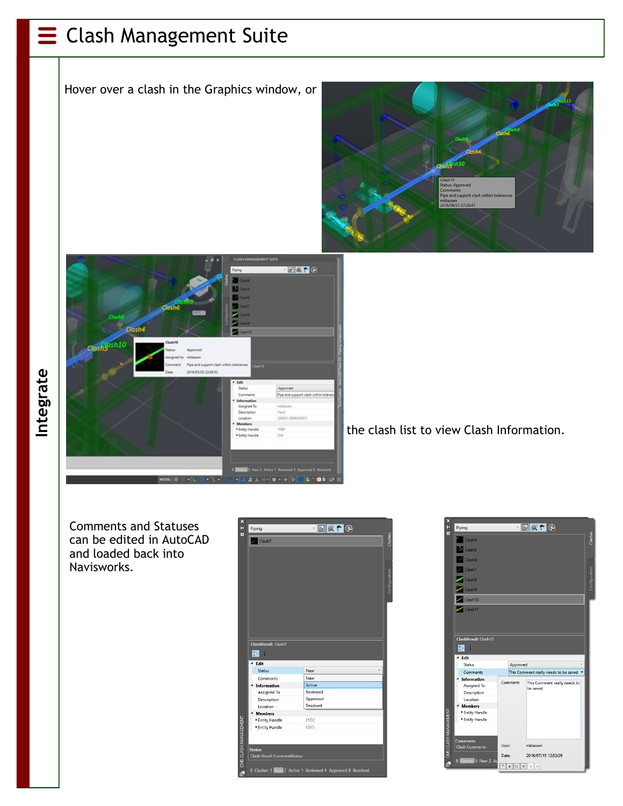## $\equiv$  Clash Management Suite

Hover over a clash in the Graphics window, or





the clash list to view Clash Information.

Comments and Statuses can be edited in AutoCAD and loaded back into Navisworks.

| <b>ClashResult Clash7</b> |                 |
|---------------------------|-----------------|
|                           |                 |
| 闘剑                        |                 |
| <sup>⊿</sup> Edit         |                 |
| Status                    | New             |
| Comments                  | <b>New</b>      |
|                           | <b>Active</b>   |
| Information               |                 |
| Assigned To               | <b>Reviewed</b> |
| Description               | Approved        |
| Location                  | <b>Resolved</b> |
| <b>Members</b>            |                 |
| Entity Handle             | 15DC            |
| Entity Handle             | 13E5            |
|                           |                 |
|                           |                 |
| <b>Status</b>             |                 |



**Integrate**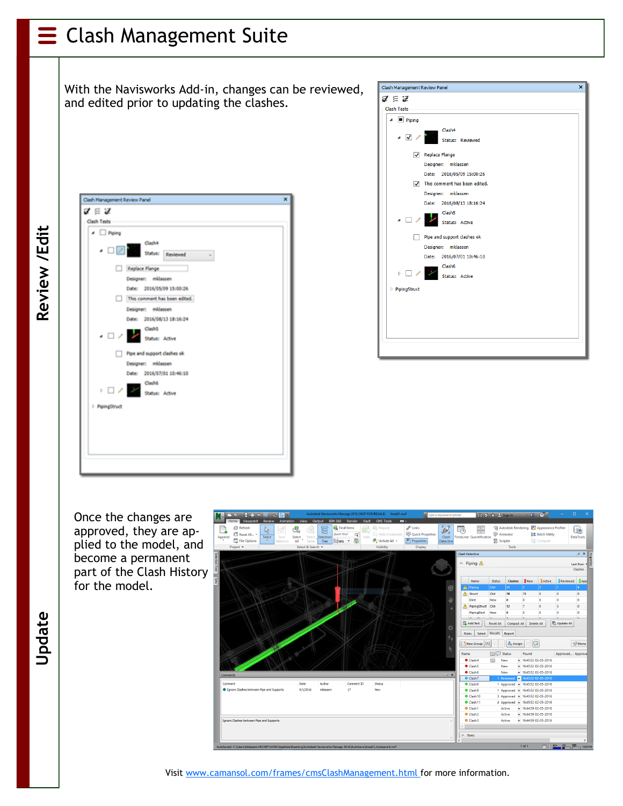## Clash Management Suite

With the Navisworks Add-in, changes can be reviewed, and edited prior to updating the clashes.

**Update**

| Clash Management Review Panel                            | × |
|----------------------------------------------------------|---|
| $\boldsymbol{\mathcal{J}}\equiv\boldsymbol{\mathcal{J}}$ |   |
| <b>Clash Tests</b>                                       |   |
| $\blacktriangle$ $\Box$ Piping                           |   |
| Clash4<br><b>COLLECT</b> Status: Reviewed                |   |
| Replace Flange                                           |   |
| Designer: mklassen                                       |   |
| Date: 2016/05/09 15:00:26                                |   |
| This comment has been edited.                            |   |
| Designer: mklassen                                       |   |
| Date: 2016/08/13 18:16:24                                |   |
| Clash5<br>$\overline{\phantom{a}}$<br>Status: Active     |   |
| Pipe and support clashes ok                              |   |
| Designer: midassen                                       |   |
| Date: 2016/07/01 10:46:10                                |   |
| Clash6<br>D / Status: Adive                              |   |
| - PloingStruct                                           |   |
|                                                          |   |
|                                                          |   |
|                                                          |   |
|                                                          |   |

| Clash Management Review Panel |                                          | $\boldsymbol{\mathsf{x}}$ |
|-------------------------------|------------------------------------------|---------------------------|
| $\mathcal{J} \in \mathcal{J}$ |                                          |                           |
| Clash Tests                   |                                          |                           |
| $\blacksquare$ Piping         |                                          |                           |
|                               | Clash4                                   |                           |
| $\overline{\bullet}$          | <b>Status: Reviewed</b>                  |                           |
|                               | Replace Flange                           |                           |
|                               | Designer: mklassen                       |                           |
|                               | Date: 2016/05/09 15:00:26                |                           |
|                               | $\sqrt{ }$ This comment has been edited. |                           |
|                               | Designer: mklassen                       |                           |
|                               | Date: 2016/08/13 18:16:24                |                           |
|                               | Clash <sub>5</sub>                       |                           |
| $\overline{\phantom{a}}$      | Status: Active                           |                           |
|                               | Pipe and support clashes ok              |                           |
|                               | Designer: mklassen                       |                           |
|                               | Date: 2016/07/01 10:46:10                |                           |
|                               | Clash6                                   |                           |
| $\triangleright$              | Status: Active                           |                           |
| <b>PipingStruct</b>           |                                          |                           |
|                               |                                          |                           |
|                               |                                          |                           |
|                               |                                          |                           |
|                               |                                          |                           |
|                               |                                          |                           |
|                               |                                          |                           |
|                               |                                          |                           |

Once the changes are approved, they are applied to the model, and become a permanent part of the Clash History for the model.